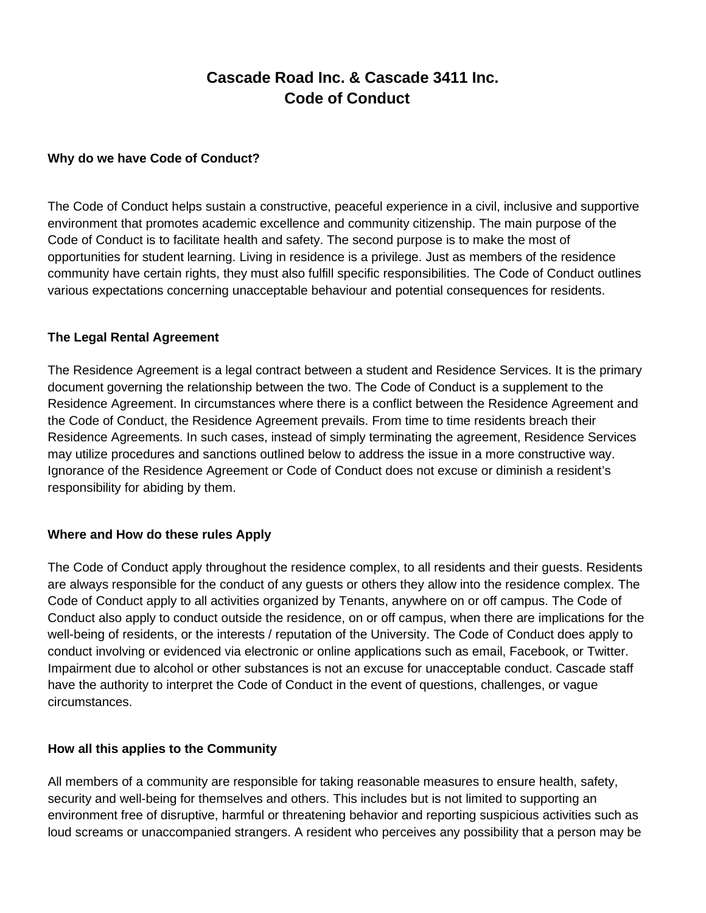# **Cascade Road Inc. & Cascade 3411 Inc. Code of Conduct**

#### **Why do we have Code of Conduct?**

The Code of Conduct helps sustain a constructive, peaceful experience in a civil, inclusive and supportive environment that promotes academic excellence and community citizenship. The main purpose of the Code of Conduct is to facilitate health and safety. The second purpose is to make the most of opportunities for student learning. Living in residence is a privilege. Just as members of the residence community have certain rights, they must also fulfill specific responsibilities. The Code of Conduct outlines various expectations concerning unacceptable behaviour and potential consequences for residents.

#### **The Legal Rental Agreement**

The Residence Agreement is a legal contract between a student and Residence Services. It is the primary document governing the relationship between the two. The Code of Conduct is a supplement to the Residence Agreement. In circumstances where there is a conflict between the Residence Agreement and the Code of Conduct, the Residence Agreement prevails. From time to time residents breach their Residence Agreements. In such cases, instead of simply terminating the agreement, Residence Services may utilize procedures and sanctions outlined below to address the issue in a more constructive way. Ignorance of the Residence Agreement or Code of Conduct does not excuse or diminish a resident's responsibility for abiding by them.

### **Where and How do these rules Apply**

The Code of Conduct apply throughout the residence complex, to all residents and their guests. Residents are always responsible for the conduct of any guests or others they allow into the residence complex. The Code of Conduct apply to all activities organized by Tenants, anywhere on or off campus. The Code of Conduct also apply to conduct outside the residence, on or off campus, when there are implications for the well-being of residents, or the interests / reputation of the University. The Code of Conduct does apply to conduct involving or evidenced via electronic or online applications such as email, Facebook, or Twitter. Impairment due to alcohol or other substances is not an excuse for unacceptable conduct. Cascade staff have the authority to interpret the Code of Conduct in the event of questions, challenges, or vague circumstances.

### **How all this applies to the Community**

All members of a community are responsible for taking reasonable measures to ensure health, safety, security and well-being for themselves and others. This includes but is not limited to supporting an environment free of disruptive, harmful or threatening behavior and reporting suspicious activities such as loud screams or unaccompanied strangers. A resident who perceives any possibility that a person may be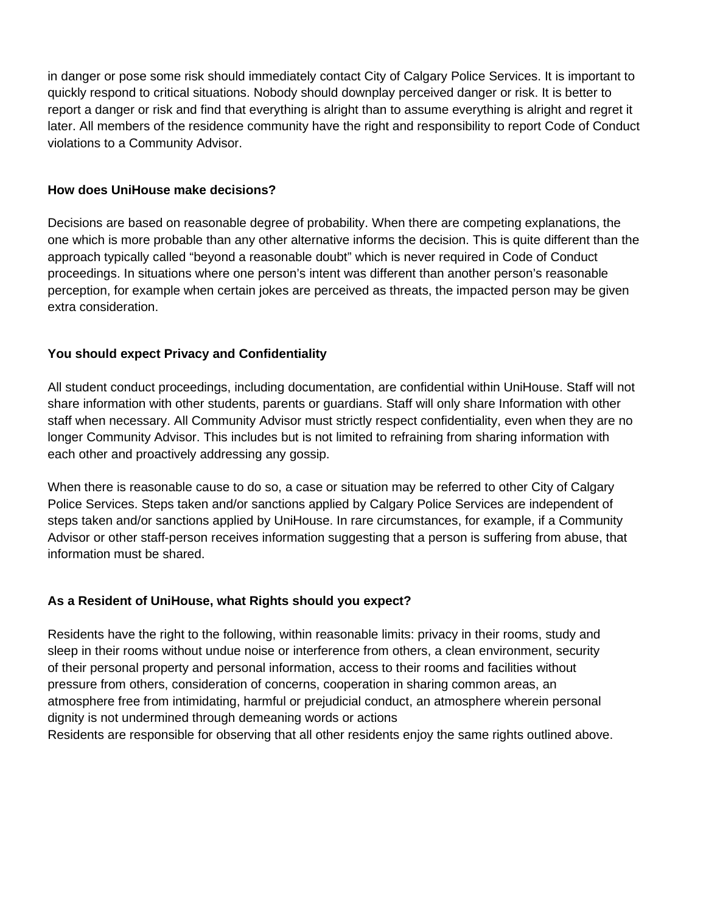in danger or pose some risk should immediately contact City of Calgary Police Services. It is important to quickly respond to critical situations. Nobody should downplay perceived danger or risk. It is better to report a danger or risk and find that everything is alright than to assume everything is alright and regret it later. All members of the residence community have the right and responsibility to report Code of Conduct violations to a Community Advisor.

#### **How does UniHouse make decisions?**

Decisions are based on reasonable degree of probability. When there are competing explanations, the one which is more probable than any other alternative informs the decision. This is quite different than the approach typically called "beyond a reasonable doubt" which is never required in Code of Conduct proceedings. In situations where one person's intent was different than another person's reasonable perception, for example when certain jokes are perceived as threats, the impacted person may be given extra consideration.

### **You should expect Privacy and Confidentiality**

All student conduct proceedings, including documentation, are confidential within UniHouse. Staff will not share information with other students, parents or guardians. Staff will only share Information with other staff when necessary. All Community Advisor must strictly respect confidentiality, even when they are no longer Community Advisor. This includes but is not limited to refraining from sharing information with each other and proactively addressing any gossip.

When there is reasonable cause to do so, a case or situation may be referred to other City of Calgary Police Services. Steps taken and/or sanctions applied by Calgary Police Services are independent of steps taken and/or sanctions applied by UniHouse. In rare circumstances, for example, if a Community Advisor or other staff-person receives information suggesting that a person is suffering from abuse, that information must be shared.

### **As a Resident of UniHouse, what Rights should you expect?**

Residents have the right to the following, within reasonable limits: privacy in their rooms, study and sleep in their rooms without undue noise or interference from others, a clean environment, security of their personal property and personal information, access to their rooms and facilities without pressure from others, consideration of concerns, cooperation in sharing common areas, an atmosphere free from intimidating, harmful or prejudicial conduct, an atmosphere wherein personal dignity is not undermined through demeaning words or actions

Residents are responsible for observing that all other residents enjoy the same rights outlined above.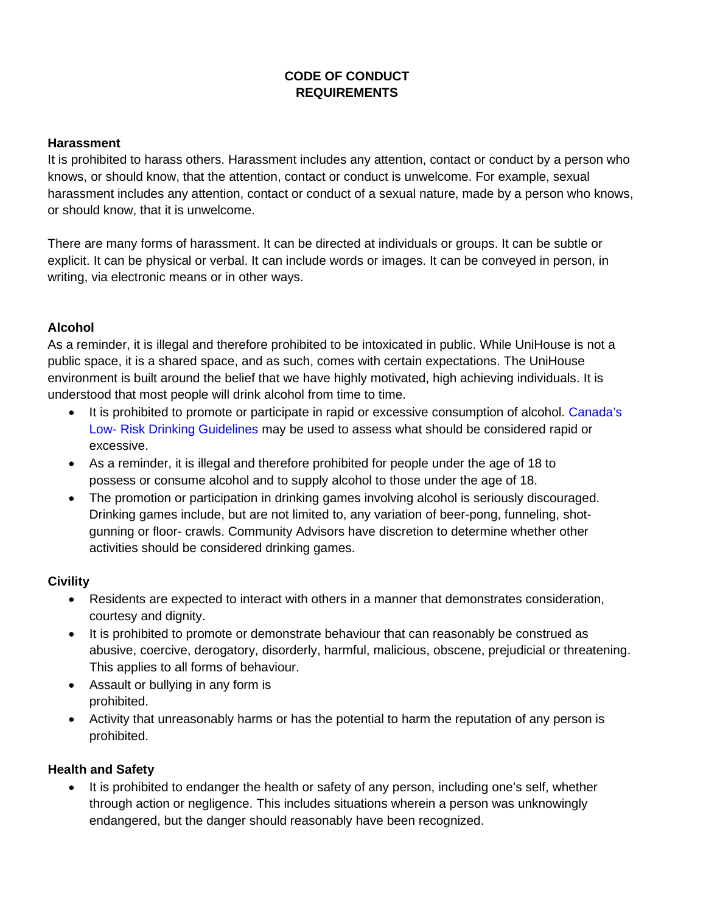# **CODE OF CONDUCT REQUIREMENTS**

#### **Harassment**

It is prohibited to harass others. Harassment includes any attention, contact or conduct by a person who knows, or should know, that the attention, contact or conduct is unwelcome. For example, sexual harassment includes any attention, contact or conduct of a sexual nature, made by a person who knows, or should know, that it is unwelcome.

There are many forms of harassment. It can be directed at individuals or groups. It can be subtle or explicit. It can be physical or verbal. It can include words or images. It can be conveyed in person, in writing, via electronic means or in other ways.

#### **Alcohol**

As a reminder, it is illegal and therefore prohibited to be intoxicated in public. While UniHouse is not a public space, it is a shared space, and as such, comes with certain expectations. The UniHouse environment is built around the belief that we have highly motivated, high achieving individuals. It is understood that most people will drink alcohol from time to time.

- It is prohibited to promote or participate in rapid or excessive consumption of alcohol. Canada's Low- Risk Drinking Guidelines may be used to assess what should be considered rapid or excessive.
- As a reminder, it is illegal and therefore prohibited for people under the age of 18 to possess or consume alcohol and to supply alcohol to those under the age of 18.
- The promotion or participation in drinking games involving alcohol is seriously discouraged. Drinking games include, but are not limited to, any variation of beer-pong, funneling, shotgunning or floor- crawls. Community Advisors have discretion to determine whether other activities should be considered drinking games.

### **Civility**

- Residents are expected to interact with others in a manner that demonstrates consideration, courtesy and dignity.
- It is prohibited to promote or demonstrate behaviour that can reasonably be construed as abusive, coercive, derogatory, disorderly, harmful, malicious, obscene, prejudicial or threatening. This applies to all forms of behaviour.
- Assault or bullying in any form is prohibited.
- Activity that unreasonably harms or has the potential to harm the reputation of any person is prohibited.

### **Health and Safety**

• It is prohibited to endanger the health or safety of any person, including one's self, whether through action or negligence. This includes situations wherein a person was unknowingly endangered, but the danger should reasonably have been recognized.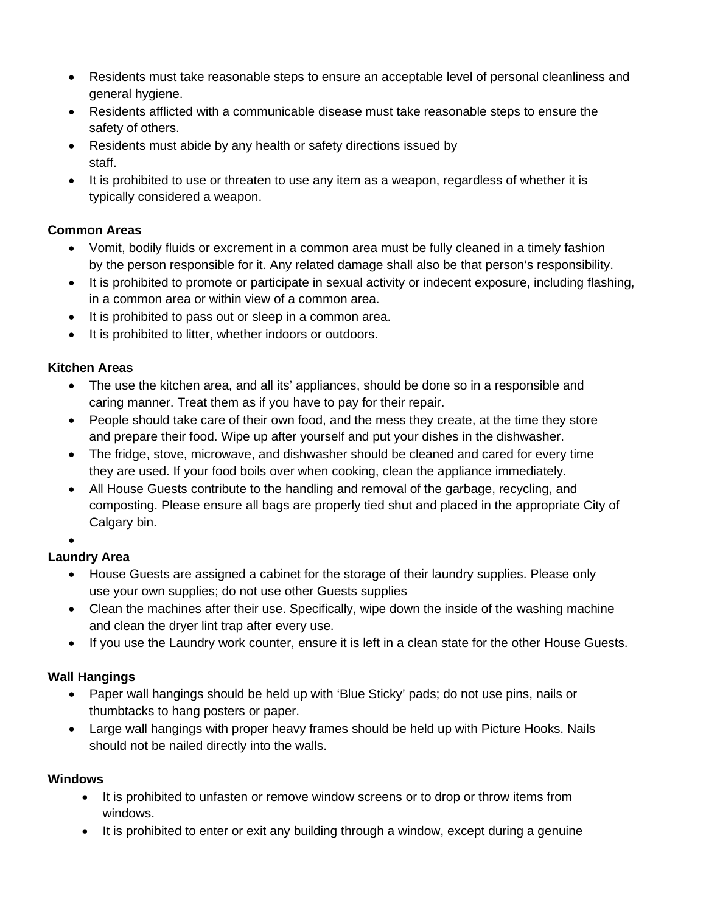- Residents must take reasonable steps to ensure an acceptable level of personal cleanliness and general hygiene.
- Residents afflicted with a communicable disease must take reasonable steps to ensure the safety of others.
- Residents must abide by any health or safety directions issued by staff.
- It is prohibited to use or threaten to use any item as a weapon, regardless of whether it is typically considered a weapon.

# **Common Areas**

- Vomit, bodily fluids or excrement in a common area must be fully cleaned in a timely fashion by the person responsible for it. Any related damage shall also be that person's responsibility.
- It is prohibited to promote or participate in sexual activity or indecent exposure, including flashing, in a common area or within view of a common area.
- It is prohibited to pass out or sleep in a common area.
- It is prohibited to litter, whether indoors or outdoors.

### **Kitchen Areas**

- The use the kitchen area, and all its' appliances, should be done so in a responsible and caring manner. Treat them as if you have to pay for their repair.
- People should take care of their own food, and the mess they create, at the time they store and prepare their food. Wipe up after yourself and put your dishes in the dishwasher.
- The fridge, stove, microwave, and dishwasher should be cleaned and cared for every time they are used. If your food boils over when cooking, clean the appliance immediately.
- All House Guests contribute to the handling and removal of the garbage, recycling, and composting. Please ensure all bags are properly tied shut and placed in the appropriate City of Calgary bin.

### •

# **Laundry Area**

- House Guests are assigned a cabinet for the storage of their laundry supplies. Please only use your own supplies; do not use other Guests supplies
- Clean the machines after their use. Specifically, wipe down the inside of the washing machine and clean the dryer lint trap after every use.
- If you use the Laundry work counter, ensure it is left in a clean state for the other House Guests.

# **Wall Hangings**

- Paper wall hangings should be held up with 'Blue Sticky' pads; do not use pins, nails or thumbtacks to hang posters or paper.
- Large wall hangings with proper heavy frames should be held up with Picture Hooks. Nails should not be nailed directly into the walls.

# **Windows**

- It is prohibited to unfasten or remove window screens or to drop or throw items from windows.
- It is prohibited to enter or exit any building through a window, except during a genuine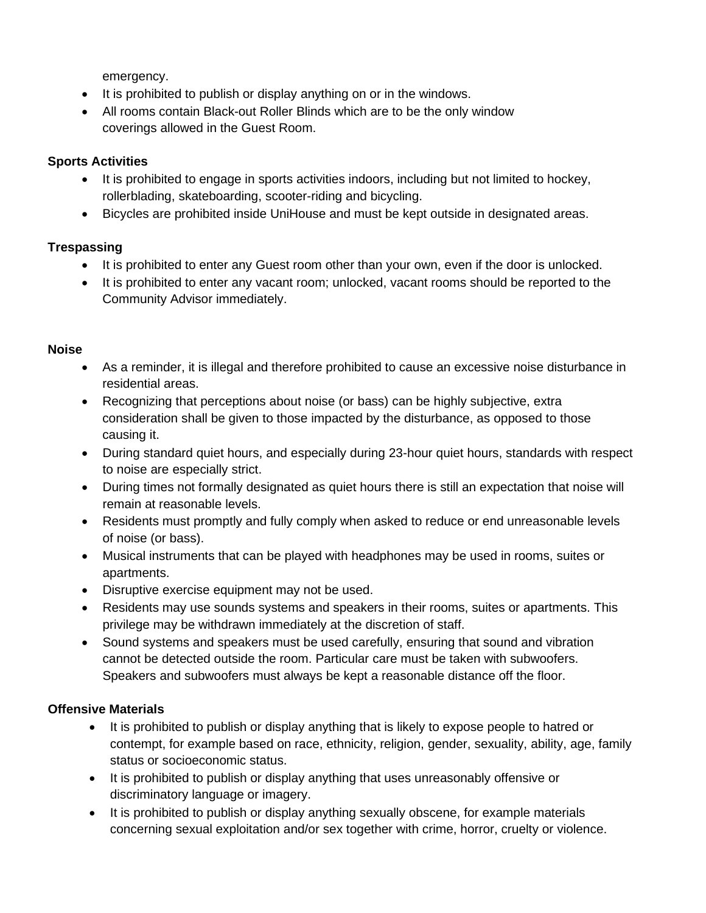emergency.

- It is prohibited to publish or display anything on or in the windows.
- All rooms contain Black-out Roller Blinds which are to be the only window coverings allowed in the Guest Room.

# **Sports Activities**

- It is prohibited to engage in sports activities indoors, including but not limited to hockey, rollerblading, skateboarding, scooter-riding and bicycling.
- Bicycles are prohibited inside UniHouse and must be kept outside in designated areas.

### **Trespassing**

- It is prohibited to enter any Guest room other than your own, even if the door is unlocked.
- It is prohibited to enter any vacant room; unlocked, vacant rooms should be reported to the Community Advisor immediately.

### **Noise**

- As a reminder, it is illegal and therefore prohibited to cause an excessive noise disturbance in residential areas.
- Recognizing that perceptions about noise (or bass) can be highly subjective, extra consideration shall be given to those impacted by the disturbance, as opposed to those causing it.
- During standard quiet hours, and especially during 23-hour quiet hours, standards with respect to noise are especially strict.
- During times not formally designated as quiet hours there is still an expectation that noise will remain at reasonable levels.
- Residents must promptly and fully comply when asked to reduce or end unreasonable levels of noise (or bass).
- Musical instruments that can be played with headphones may be used in rooms, suites or apartments.
- Disruptive exercise equipment may not be used.
- Residents may use sounds systems and speakers in their rooms, suites or apartments. This privilege may be withdrawn immediately at the discretion of staff.
- Sound systems and speakers must be used carefully, ensuring that sound and vibration cannot be detected outside the room. Particular care must be taken with subwoofers. Speakers and subwoofers must always be kept a reasonable distance off the floor.

### **Offensive Materials**

- It is prohibited to publish or display anything that is likely to expose people to hatred or contempt, for example based on race, ethnicity, religion, gender, sexuality, ability, age, family status or socioeconomic status.
- It is prohibited to publish or display anything that uses unreasonably offensive or discriminatory language or imagery.
- It is prohibited to publish or display anything sexually obscene, for example materials concerning sexual exploitation and/or sex together with crime, horror, cruelty or violence.